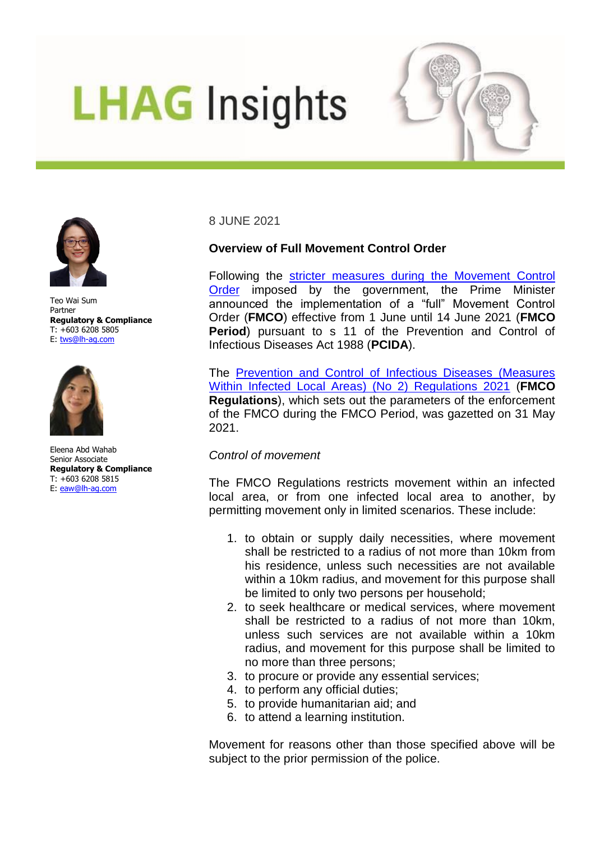# **LHAG** Insights





Teo Wai Sum Partner **Regulatory & Compliance** T: +603 6208 5805 E: [tws@lh-ag.com](mailto:tws@lh-ag.com)



Eleena Abd Wahab Senior Associate **Regulatory & Compliance** T: +603 6208 5815 E: [eaw@lh-ag.com](mailto:eaw@lh-ag.com)

8 JUNE 2021

## **Overview of Full Movement Control Order**

Following the [stricter measures during the Movement Control](https://www.lh-ag.com/wp-content/uploads/2021/05/Stricter-Measures-for-MCO-3-0_Key-Points-for-Businesses_LHAG-Insights-20210526.pdf)  [Order](https://www.lh-ag.com/wp-content/uploads/2021/05/Stricter-Measures-for-MCO-3-0_Key-Points-for-Businesses_LHAG-Insights-20210526.pdf) imposed by the government, the Prime Minister announced the implementation of a "full" Movement Control Order (**FMCO**) effective from 1 June until 14 June 2021 (**FMCO Period**) pursuant to s 11 of the Prevention and Control of Infectious Diseases Act 1988 (**PCIDA**).

The [Prevention and Control of Infectious Diseases \(Measures](https://lom.agc.gov.my/ilims/upload/portal/akta/outputp/1702290/PUA%20243.pdf)  [Within Infected Local Areas\) \(No 2\) Regulations 2021](https://lom.agc.gov.my/ilims/upload/portal/akta/outputp/1702290/PUA%20243.pdf) (**FMCO Regulations**), which sets out the parameters of the enforcement of the FMCO during the FMCO Period, was gazetted on 31 May 2021.

### *Control of movement*

The FMCO Regulations restricts movement within an infected local area, or from one infected local area to another, by permitting movement only in limited scenarios. These include:

- 1. to obtain or supply daily necessities, where movement shall be restricted to a radius of not more than 10km from his residence, unless such necessities are not available within a 10km radius, and movement for this purpose shall be limited to only two persons per household;
- 2. to seek healthcare or medical services, where movement shall be restricted to a radius of not more than 10km, unless such services are not available within a 10km radius, and movement for this purpose shall be limited to no more than three persons;
- 3. to procure or provide any essential services;
- 4. to perform any official duties;
- 5. to provide humanitarian aid; and
- 6. to attend a learning institution.

Movement for reasons other than those specified above will be subject to the prior permission of the police.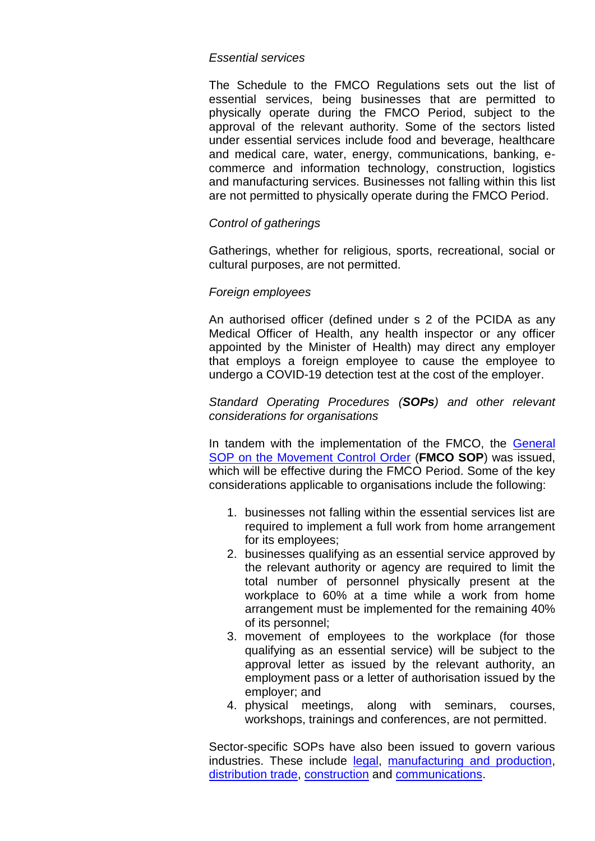#### *Essential services*

The Schedule to the FMCO Regulations sets out the list of essential services, being businesses that are permitted to physically operate during the FMCO Period, subject to the approval of the relevant authority. Some of the sectors listed under essential services include food and beverage, healthcare and medical care, water, energy, communications, banking, ecommerce and information technology, construction, logistics and manufacturing services. Businesses not falling within this list are not permitted to physically operate during the FMCO Period.

#### *Control of gatherings*

Gatherings, whether for religious, sports, recreational, social or cultural purposes, are not permitted.

#### *Foreign employees*

An authorised officer (defined under s 2 of the PCIDA as any Medical Officer of Health, any health inspector or any officer appointed by the Minister of Health) may direct any employer that employs a foreign employee to cause the employee to undergo a COVID-19 detection test at the cost of the employer.

*Standard Operating Procedures (SOPs) and other relevant considerations for organisations*

In tandem with the implementation of the FMCO, the [General](https://asset.mkn.gov.my/web/wp-content/uploads/sites/3/2019/08/SOP-AM-PKP-Seluruh-Negara-Kemaskini-2-Jun-2021.pdf)  [SOP on the Movement Control Order](https://asset.mkn.gov.my/web/wp-content/uploads/sites/3/2019/08/SOP-AM-PKP-Seluruh-Negara-Kemaskini-2-Jun-2021.pdf) (**FMCO SOP**) was issued, which will be effective during the FMCO Period. Some of the key considerations applicable to organisations include the following:

- 1. businesses not falling within the essential services list are required to implement a full work from home arrangement for its employees;
- 2. businesses qualifying as an essential service approved by the relevant authority or agency are required to limit the total number of personnel physically present at the workplace to 60% at a time while a work from home arrangement must be implemented for the remaining 40% of its personnel;
- 3. movement of employees to the workplace (for those qualifying as an essential service) will be subject to the approval letter as issued by the relevant authority, an employment pass or a letter of authorisation issued by the employer; and
- 4. physical meetings, along with seminars, courses, workshops, trainings and conferences, are not permitted.

Sector-specific SOPs have also been issued to govern various industries. These include [legal,](https://asset.mkn.gov.my/web/wp-content/uploads/sites/3/2019/08/BHEUU-PKP-SOP-Perkhidmatan-Berkaitan-Guaman-Kemaskini-7-Jun-2021.pdf) [manufacturing and production,](https://asset.mkn.gov.my/web/wp-content/uploads/sites/3/2019/08/MITI-PKP-SOP-Sektor-Pembuatan-Perkilangan-dan-Perkhidmatan-Kemaskini-31-Mei-2021.pdf) [distribution trade,](https://asset.mkn.gov.my/web/wp-content/uploads/sites/3/2019/08/KPDNHEP-PKP-SOP-Perdagangan-Pengedaran-Kemaskini-4-Jun-2021.pdf) [construction](https://asset.mkn.gov.my/web/wp-content/uploads/sites/3/2019/08/CIDB-PKP-SOP-Sektor-Pembinaan-Kemaskini-31-Mei-2021.pdf) and [communications.](https://asset.mkn.gov.my/web/wp-content/uploads/sites/3/2019/08/KKMM-PKP-SOP-Sektor-Komunikasi-E-Dagang-Teknologi-Maklumat-Kemaskini-31-Mei-2021.pdf)